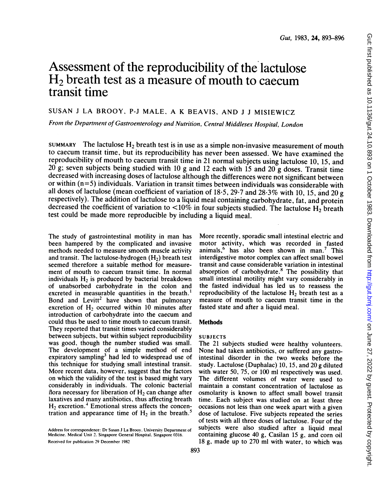# Assessment of the reproducibility of the lactulose H2 breath test as a measure of mouth to caecum transit time

# SUSAN <sup>J</sup> LA BROOY, P-J MALE, A K BEAVIS, AND J J MISIEWICZ

From the Department of Gastroenterology and Nutrition, Central Middlesex Hospital, London

SUMMARY The lactulose  $H_2$  breath test is in use as a simple non-invasive measurement of mouth to caecum transit time, but its reproducibility has never been assessed. We have examined the reproducibility of mouth to caecum transit time in 21 normal subjects using lactulose 10, 15, and 20 g; seven subjects being studied with 10 g and 12 each with 15 and 20 g doses. Transit time decreased with increasing doses of lactulose although the differences were not significant between or within (n=5) individuals. Variation in transit times between individuals was considerable with all doses of lactulose (mean coefficient of variation of  $18.5$ ,  $29.7$  and  $28.3\%$  with 10, 15, and 20 g respectively). The addition of lactulose to a liquid meal containing carbohydrate, fat, and protein decreased the coefficient of variation to  $\langle 10\%$  in four subjects studied. The lactulose H<sub>2</sub> breath test could be made more reproducible by including a liquid meal.

The study of gastrointestinal motility in man has been hampered by the complicated and invasive methods needed to measure smooth muscle activity and transit. The lactulose-hydrogen  $(H<sub>2</sub>)$  breath test seemed therefore a suitable method for measurement of mouth to caecum transit time. In normal individuals  $H_2$  is produced by bacterial breakdown of unabsorbed carbohydrate in the colon and excreted in measurable quantities in the breath.' Bond and Levitt<sup>2</sup> have shown that pulmonary excretion of  $H<sub>2</sub>$  occurred within 10 minutes after introduction of carbohydrate into the caecum and could thus be used to time mouth to caecum transit. They reported that transit times varied considerably between subjects, but within subject reproducibility was good, though the number studied was small. The development of a simple method of end expiratory sampling<sup>3</sup> had led to widespread use of this technique for studying small intestinal transit. More recent data, however, suggest that the factors on which the validity of the test is based might vary considerably in individuals. The colonic bacterial flora necessary for liberation of  $H<sub>2</sub>$  can change after laxatives and many antibiotics, thus affecting breath  $H_2$  excretion.<sup>4</sup> Emotional stress affects the concentration and appearance time of  $H_2$  in the breath.<sup>5</sup>

the fasted individual has led us to reassess the reproducibility of the lactulose  $H_2$  breath test as a measure of mouth to caecum transit time in the fasted state and after a liquid meal. **Methods SUBJECTS** The 21 subjects studied were healthy volunteers.

More recently, sporadic small intestinal electric and motor activity, which was recorded in fasted animals,<sup>6</sup> has also been shown in man.<sup>7</sup> This interdigestive motor complex can affect small bowel transit and cause considerable variation in intestinal absorption of carbohydrate.8 The possibility that small intestinal motility might vary considerably in

None had taken antibiotics, or suffered any gastrointestinal disorder in the two weeks before the study. Lactulose (Duphalac) 10, 15, and 20 g diluted with water 50, 75, or 100 ml respectively was used. The different volumes of water were used to maintain a constant concentration of lactulose as osmolarity is known to affect small bowel transit time. Each subject was studied on at least three occasions not less than one week apart with a given dose of lactulose. Five subjects repeated the series of tests with all three doses of lactulose. Four of the subjects were also studied after a liquid meal containing glucose 40 g, Casilan 15 g, and corn oil <sup>18</sup> g, made up to 270 ml with water, to which was

Address for correspondence: Dr Susan <sup>J</sup> La Brooy. University Department of Medicine. Medical Unit 2. Singapore General Hospital. Singapore (0316. Received for publication 29 December 1982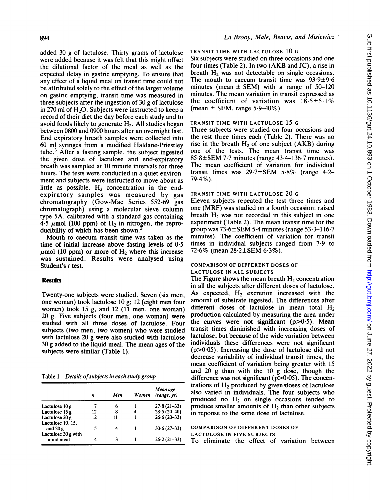added 30 g of lactulose. Thirty grams of lactulose were added because it was felt that this might offset the dilutional factor of the meal as well as the expected delay in gastric emptying. To ensure that any effect of a liquid meal on transit time could not be attributed solely to the effect of the larger volume on gastric emptying, transit time was measured in three subjects after the ingestion of 30 g of lactulose in 270 ml of  $H<sub>2</sub>O$ . Subjects were instructed to keep a record of their diet the day before each study and to avoid foods likely to generate  $H<sub>2</sub>$ . All studies began between 0800 and 0900 hours after an overnight fast. End expiratory breath samples were collected into 60 ml syringes from a modified Haldane-Priestley tube. $3$  After a fasting sample, the subject ingested the given dose of lactulose and end-expiratory breath was sampled at 10 minute intervals for three hours. The tests were conducted in a quiet environment and subjects were instructed to move about as little as possible.  $H_2$  concentration in the endexpiratory samples was measured by gas chromatography (Gow-Mac Series 552-69 gas chromatograph) using a molecular sieve column type 5A, calibrated with a standard gas containing 4.5  $\mu$ mol (100 ppm) of H<sub>2</sub> in nitrogen, the reproducibility of which has been shown.

Mouth to caecum transit time was taken as the time of initial increase above fasting levels of 0.5  $\mu$ mol (10 ppm) or more of H<sub>2</sub> where this increase was sustained. Results were analysed using Student's <sup>t</sup> test.

# **Results**

Twenty-one subjects were studied. Seven (six men, one woman) took lactulose 10 g; 12 (eight men four women) took 15 g, and 12 (11 men, one woman) 20 g. Five subjects (four men, one woman) were studied with all three doses of lactulose. Four subjects (two men, two women) who were studied with lactulose 20 g were also studied with lactulose 30 g added to the liquid meal. The mean ages of the subjects were similar (Table 1).

Table 1 Details of subjects in each study group

|                                    | n  | Men | Women | Mean age<br>(range, vr) |
|------------------------------------|----|-----|-------|-------------------------|
| Lactulose 10 g                     |    | 6   |       | $27.8(21-33)$           |
| Lactulose 15 g                     | 12 | 8   |       | $28.5(20-40)$           |
| Lactulose 20 g                     | 12 | 11  |       | $26.6(20-33)$           |
| Lactulose 10, 15,                  |    |     |       |                         |
| and $20 g$                         | 5  |     |       | $30.6(27-33)$           |
| Lactulose 30 g with<br>liquid meal |    |     |       | $26.2(21-33)$           |

# TRANSIT TIME WITH LACTULOSE 10 G

Six subjects were studied on three occasions and one four times (Table 2). In two (AKB and JC), <sup>a</sup> rise in breath  $H<sub>2</sub>$  was not detectable on single occasions. The mouth to caecum transit time was 93.9±9.6 minutes (mean  $\pm$  SEM) with a range of 50–120 minutes. The mean variation in transit expressed as the coefficient of variation was  $18.5 \pm 5.1\%$ (mean  $\pm$  SEM, range 5.9–40%).

#### TRANSIT TIME WITH LACTULOSE 15 G

Three subjects were studied on four occasions and the rest three times each (Table 2). There was no rise in the breath  $H_2$  of one subject (AKB) during one of the tests. The mean transit time was  $85.8 \pm \text{SEM}$  7.7 minutes (range 43.4–136.7 minutes). The mean coefficient of variation for individual transit times was 29.7±SEM 5.8% (range 4.2-  $79.4\%$ ).

## TRANSIT TIME WITH LACTULOSE 20 G

Eleven subjects repeated the test three times and one (MRF) was studied on a fourth occasion: raised breath  $H<sub>2</sub>$  was not recorded in this subject in one experiment (Table 2). The mean transit time for the group was 73.6±SEM 5.4 minutes (range 53.3-116.7 minutes). The coefficient of variation for transit times in individual subjects ranged from 7.9 to 72.6% (mean 28.2±SEM 6.3%).

#### COMPARISON OF DIFFERENT DOSES OF LACTULOSE IN ALL SUBJECTS

The Figure shows the mean breath  $H<sub>2</sub>$  concentration in all the subjects after different doses of lactulose. As expected,  $H_2$  excretion increased with the amount of substrate ingested. The differences after different doses of lactulose in mean total  $H_2$ production calculated by measuring the area under the curves were not significant  $(p>0.5)$ . Mean transit times diminished with increasing doses of lactulose, but because of the wide variation between individuals these differences were not significant  $(p>0.05)$ . Increasing the dose of lactulose did not decrease variability of individual transit times, the mean coefficient of variation being greater with 15 and 20 g than with the 10 g dose, though the difference was not significant ( $p > 0.05$ ). The concentrations of  $H_2$  produced by given doses of lactulose also varied in individuals. The four subjects who produced no  $H_2$  on single occasions tended to produce smaller amounts of  $H_2$  than other subjects in reponse to the same dose of lactulose.

#### COMPARISON OF DIFFERENT DOSES OF LACTULOSE IN FIVE SUBJECTS

To eliminate the effect of variation between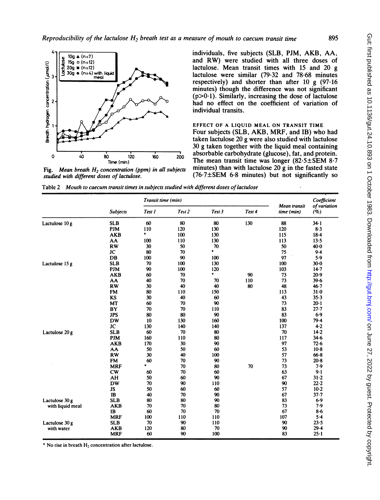

Fig. Mean breath  $H_2$  concentration (ppm) in all subjects studied with different doses of lactulose.

individuals, five subjects (SLB, PJM, AKB, AA, and RW) were studied with all three doses of lactulose. Mean transit times with 15 and 20 g lactulose were similar (79.32 and 78-68 minutes respectively) and shorter than after 10 g (97.16 minutes) though the difference was not significant  $(p>0.1)$ . Similarly, increasing the dose of lactulose had no effect on the coefficient of variation of individual transits.

EFFECT OF A LIQUID MEAL ON TRANSIT TIME Four subjects (SLB, AKB, MRF, and IB) who had taken lactulose 20 g were also studied with lactulose 30 g taken together with the liquid meal containing absorbable carbohydrate (glucose), fat, and protein. The mean transit time was longer (82.5±SEM 8.7 minutes) than with lactulose  $20 \text{ g}$  in the fasted state (76.7±SEM 6.8 minutes) but not significantly so

Table 2 Mouth to caecum transit times in subjects studied with different doses of lactulose

|                  |                 |        | Transit time (min) |           |        |                            | Coefficient         |
|------------------|-----------------|--------|--------------------|-----------|--------|----------------------------|---------------------|
|                  | <b>Subjects</b> | Test 1 | Test <sub>2</sub>  | Test 3    | Test 4 | Mean transit<br>time (min) | of variation<br>(%) |
| Lactulose 10 g   | <b>SLB</b>      | 60     | 80                 | 80        | 130    | 88                         | $34 - 1$            |
|                  | <b>PJM</b>      | 110    | 120                | 130       |        | 120                        | 8.3                 |
|                  | <b>AKB</b>      | ۰      | 100                | 130       |        | 115                        | $18 - 4$            |
|                  | AA              | 100    | 110                | 130       |        | 113                        | 13.5                |
|                  | <b>RW</b>       | 30     | 50                 | 70        |        | 50                         | $40-0$              |
|                  | JC              | 80     | 70                 | $\bullet$ |        | 75                         | $9-4$               |
|                  | DB              | 100    | 90                 | 100       |        | 97                         | 5.9                 |
| Lactulose 15 g   | <b>SLB</b>      | 70     | 100                | 130       |        | 100                        | $30 - 0$            |
|                  | <b>PJM</b>      | 90     | 100                | 120       |        | 103                        | $14 - 7$            |
|                  | <b>AKB</b>      | 60     | 70                 | ٠         | 90     | 73                         | 20.9                |
|                  | AA              | 40     | 70                 | 70        | 110    | 73                         | 39.6                |
|                  | <b>RW</b>       | 30     | 40                 | 40        | 80     | 48                         | $46 - 7$            |
|                  | <b>FM</b>       | 80     | 110                | 150       |        | 113                        | $31 - 0$            |
|                  | KS              | 30     | 40                 | 60        |        | 43                         | 35.3                |
|                  | MT              | 60     | 70                 | 90        |        | 73                         | $20 - 1$            |
|                  | BY              | 70     | 70                 | 110       |        | 83                         | 27.7                |
|                  | <b>JPS</b>      | 80     | 80                 | 90        |        | 83                         | 6.9                 |
|                  | <b>DW</b>       | 10     | 130                | 160       |        | 100                        | 79.4                |
|                  | JC              | 130    | 140                | 140       |        | 137                        | 4.2                 |
| Lactulose 20 g   | <b>SLB</b>      | 60     | 70                 | 80        |        | 70                         | $14 - 2$            |
|                  | <b>PJM</b>      | 160    | 110                | 80        |        | 117                        | 34.6                |
|                  | <b>AKB</b>      | 170    | 30                 | 90        |        | 97                         | 72.6                |
|                  | AA              | 50     | 50                 | 60        |        | 53                         | $10-8$              |
|                  | <b>RW</b>       | 30     | 40                 | 100       |        | 57                         | $66 - 8$            |
|                  | <b>FM</b>       | 60     | 70                 | 90        |        | 73                         | $20-8$              |
|                  | <b>MRF</b>      | ٠      | 70                 | 80        | 70     | 73                         | 7.9                 |
|                  | cw              | 60     | 70                 | 60        |        | 63                         | 9.1                 |
|                  | AH              | 50     | 60                 | 90        |        | 67                         | $31 - 2$            |
|                  | <b>DW</b>       | 70     | 90                 | 110       |        | 90                         | 22.2                |
|                  | <b>JS</b>       | 50     | 60                 | 60        |        | 57                         | $10-2$              |
|                  | IB              | 40     | 70                 | 90        |        | 67                         | $37 - 7$            |
| Lactulose 30 g   | <b>SLB</b>      | 80     | 80                 | 90        |        | 83                         | 6.9                 |
| with liquid meal | <b>AKB</b>      | 70     | 70                 | 80        |        | 73                         | 7.9                 |
|                  | IB              | 60     | 70                 | 70        |        | 67                         | $8 - 6$             |
|                  | <b>MRF</b>      | 100    | 110                | 110       |        | 107                        | $5 - 4$             |
| Lactulose 30 g   | <b>SLB</b>      | 70     | 90                 | 110       |        | 90                         | 23.5                |
| with water       | <b>AKB</b>      | 120    | 80                 | 70        |        | 90                         | 29.4                |
|                  | <b>MRF</b>      | 60     | 90                 | 100       |        | 83                         | $25 - 1$            |

\* No rise in breath  $H_2$  concentration after lactulose.